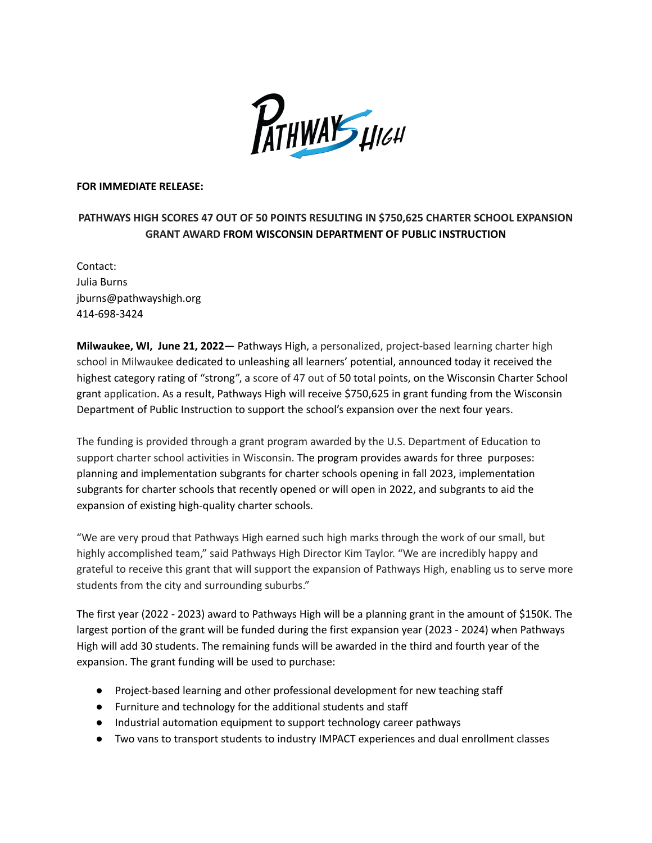

## **FOR IMMEDIATE RELEASE:**

## **PATHWAYS HIGH SCORES 47 OUT OF 50 POINTS RESULTING IN \$750,625 CHARTER SCHOOL EXPANSION GRANT AWARD FROM WISCONSIN DEPARTMENT OF PUBLIC INSTRUCTION**

Contact: Julia Burns jburns@pathwayshigh.org 414-698-3424

**Milwaukee, WI, June 21, 2022**— Pathways High, a personalized, project-based learning charter high school in Milwaukee dedicated to unleashing all learners' potential, announced today it received the highest category rating of "strong", a score of 47 out of 50 total points, on the Wisconsin Charter School grant application. As a result, Pathways High will receive \$750,625 in grant funding from the Wisconsin Department of Public Instruction to support the school's expansion over the next four years.

The funding is provided through a grant program awarded by the U.S. Department of Education to support charter school activities in Wisconsin. The program provides awards for three purposes: planning and implementation subgrants for charter schools opening in fall 2023, implementation subgrants for charter schools that recently opened or will open in 2022, and subgrants to aid the expansion of existing high-quality charter schools.

"We are very proud that Pathways High earned such high marks through the work of our small, but highly accomplished team," said Pathways High Director Kim Taylor. "We are incredibly happy and grateful to receive this grant that will support the expansion of Pathways High, enabling us to serve more students from the city and surrounding suburbs."

The first year (2022 - 2023) award to Pathways High will be a planning grant in the amount of \$150K. The largest portion of the grant will be funded during the first expansion year (2023 - 2024) when Pathways High will add 30 students. The remaining funds will be awarded in the third and fourth year of the expansion. The grant funding will be used to purchase:

- Project-based learning and other professional development for new teaching staff
- Furniture and technology for the additional students and staff
- Industrial automation equipment to support technology career pathways
- Two vans to transport students to industry IMPACT experiences and dual enrollment classes